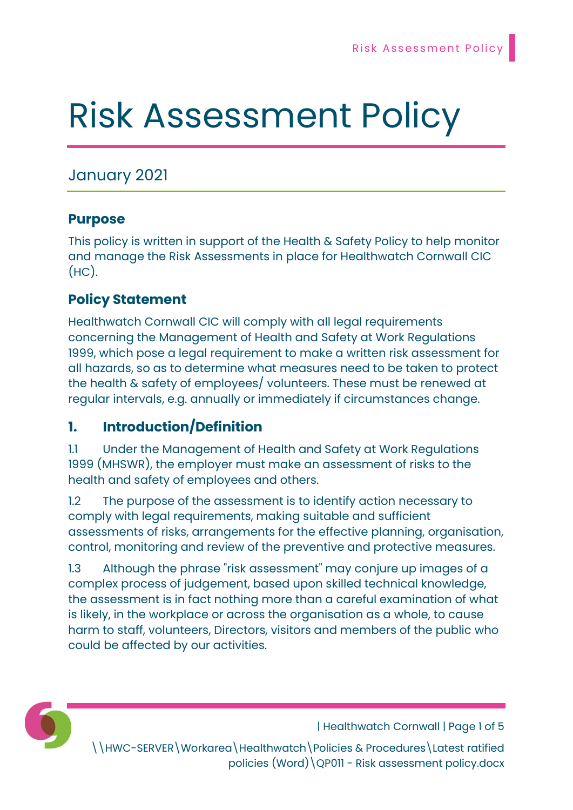# Risk Assessment Policy

# January 2021

#### Purpose

This policy is written in support of the Health & Safety Policy to help monitor and manage the Risk Assessments in place for Healthwatch Cornwall CIC  $(HC)$ .

## Policy Statement

Healthwatch Cornwall CIC will comply with all legal requirements concerning the Management of Health and Safety at Work Regulations 1999, which pose a legal requirement to make a written risk assessment for all hazards, so as to determine what measures need to be taken to protect the health & safety of employees/ volunteers. These must be renewed at regular intervals, e.g. annually or immediately if circumstances change.

# 1. Introduction/Definition

1.1 Under the Management of Health and Safety at Work Regulations 1999 (MHSWR), the employer must make an assessment of risks to the health and safety of employees and others.

1.2 The purpose of the assessment is to identify action necessary to comply with legal requirements, making suitable and sufficient assessments of risks, arrangements for the effective planning, organisation, control, monitoring and review of the preventive and protective measures.

1.3 Although the phrase "risk assessment" may conjure up images of a complex process of judgement, based upon skilled technical knowledge, the assessment is in fact nothing more than a careful examination of what is likely, in the workplace or across the organisation as a whole, to cause harm to staff, volunteers, Directors, visitors and members of the public who could be affected by our activities.



| Healthwatch Cornwall | Page 1 of 5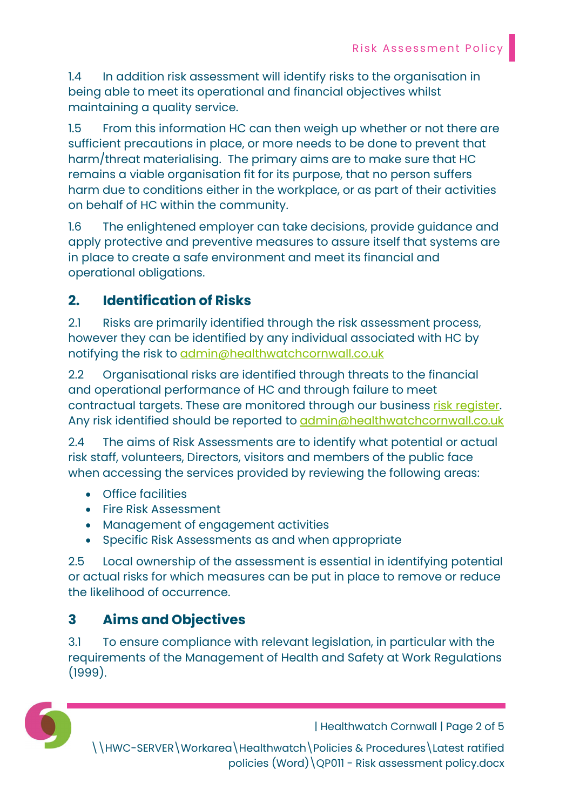1.4 In addition risk assessment will identify risks to the organisation in being able to meet its operational and financial objectives whilst maintaining a quality service.

1.5 From this information HC can then weigh up whether or not there are sufficient precautions in place, or more needs to be done to prevent that harm/threat materialising. The primary aims are to make sure that HC remains a viable organisation fit for its purpose, that no person suffers harm due to conditions either in the workplace, or as part of their activities on behalf of HC within the community.

1.6 The enlightened employer can take decisions, provide guidance and apply protective and preventive measures to assure itself that systems are in place to create a safe environment and meet its financial and operational obligations.

## 2. Identification of Risks

2.1 Risks are primarily identified through the risk assessment process, however they can be identified by any individual associated with HC by notifying the risk to admin@healthwatchcornwall.co.uk

2.2 Organisational risks are identified through threats to the financial and operational performance of HC and through failure to meet contractual targets. These are monitored through our business risk register. Any risk identified should be reported to admin@healthwatchcornwall.co.uk

2.4 The aims of Risk Assessments are to identify what potential or actual risk staff, volunteers, Directors, visitors and members of the public face when accessing the services provided by reviewing the following areas:

- Office facilities
- Fire Risk Assessment
- Management of engagement activities
- Specific Risk Assessments as and when appropriate

2.5 Local ownership of the assessment is essential in identifying potential or actual risks for which measures can be put in place to remove or reduce the likelihood of occurrence.

# 3 Aims and Objectives

3.1 To ensure compliance with relevant legislation, in particular with the requirements of the Management of Health and Safety at Work Regulations (1999).



| Healthwatch Cornwall | Page 2 of 5

\\HWC-SERVER\Workarea\Healthwatch\Policies & Procedures\Latest ratified policies (Word)\QP011 - Risk assessment policy.docx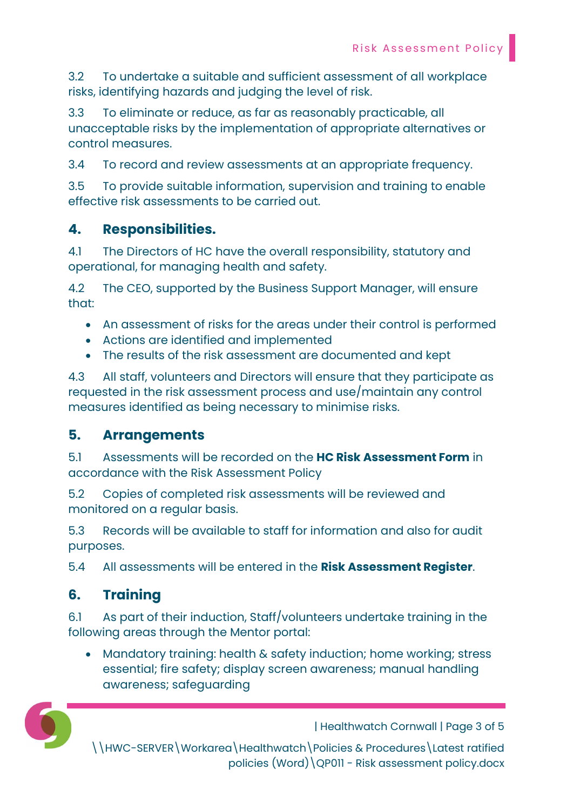3.2 To undertake a suitable and sufficient assessment of all workplace risks, identifying hazards and judging the level of risk.

3.3 To eliminate or reduce, as far as reasonably practicable, all unacceptable risks by the implementation of appropriate alternatives or control measures.

3.4 To record and review assessments at an appropriate frequency.

3.5 To provide suitable information, supervision and training to enable effective risk assessments to be carried out.

## 4. Responsibilities.

4.1 The Directors of HC have the overall responsibility, statutory and operational, for managing health and safety.

4.2 The CEO, supported by the Business Support Manager, will ensure that:

- An assessment of risks for the areas under their control is performed
- Actions are identified and implemented
- The results of the risk assessment are documented and kept

4.3 All staff, volunteers and Directors will ensure that they participate as requested in the risk assessment process and use/maintain any control measures identified as being necessary to minimise risks.

### 5. Arrangements

5.1 Assessments will be recorded on the **HC Risk Assessment Form** in accordance with the Risk Assessment Policy

5.2 Copies of completed risk assessments will be reviewed and monitored on a regular basis.

5.3 Records will be available to staff for information and also for audit purposes.

5.4 All assessments will be entered in the Risk Assessment Register.

## 6. Training

6.1 As part of their induction, Staff/volunteers undertake training in the following areas through the Mentor portal:

 Mandatory training: health & safety induction; home working; stress essential; fire safety; display screen awareness; manual handling awareness; safeguarding



| Healthwatch Cornwall | Page 3 of 5

\\HWC-SERVER\Workarea\Healthwatch\Policies & Procedures\Latest ratified policies (Word)\QP011 - Risk assessment policy.docx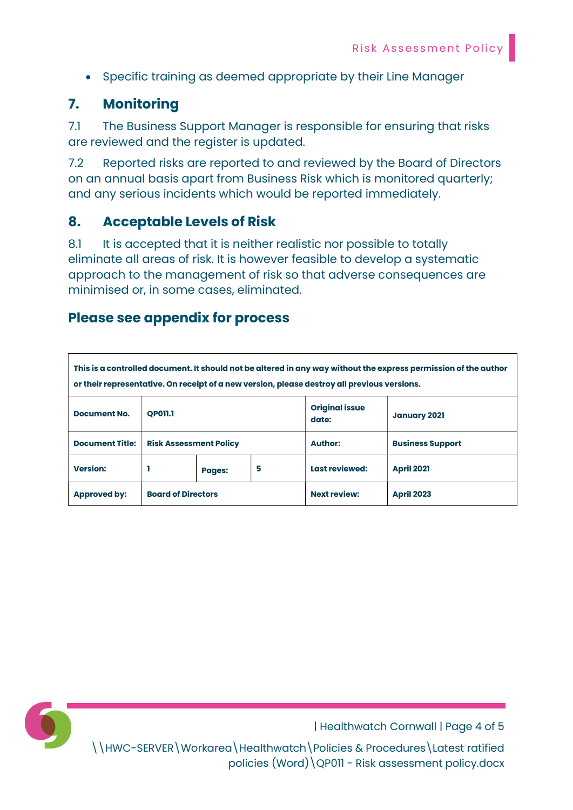• Specific training as deemed appropriate by their Line Manager

#### 7. Monitoring

7.1 The Business Support Manager is responsible for ensuring that risks are reviewed and the register is updated.

7.2 Reported risks are reported to and reviewed by the Board of Directors on an annual basis apart from Business Risk which is monitored quarterly; and any serious incidents which would be reported immediately.

#### 8. Acceptable Levels of Risk

8.1 It is accepted that it is neither realistic nor possible to totally eliminate all areas of risk. It is however feasible to develop a systematic approach to the management of risk so that adverse consequences are minimised or, in some cases, eliminated.

#### Please see appendix for process

| This is a controlled document. It should not be altered in any way without the express permission of the author<br>or their representative. On receipt of a new version, please destroy all previous versions. |                               |               |   |                                |                         |
|----------------------------------------------------------------------------------------------------------------------------------------------------------------------------------------------------------------|-------------------------------|---------------|---|--------------------------------|-------------------------|
| <b>Document No.</b>                                                                                                                                                                                            | <b>OP011.1</b>                |               |   | <b>Original issue</b><br>date: | <b>January 2021</b>     |
| <b>Document Title:</b>                                                                                                                                                                                         | <b>Risk Assessment Policy</b> |               |   | <b>Author:</b>                 | <b>Business Support</b> |
| <b>Version:</b>                                                                                                                                                                                                |                               | <b>Pages:</b> | 5 | Last reviewed:                 | <b>April 2021</b>       |
| <b>Approved by:</b>                                                                                                                                                                                            | <b>Board of Directors</b>     |               |   | <b>Next review:</b>            | <b>April 2023</b>       |



| Healthwatch Cornwall | Page 4 of 5

\\HWC-SERVER\Workarea\Healthwatch\Policies & Procedures\Latest ratified policies (Word)\QP011 - Risk assessment policy.docx